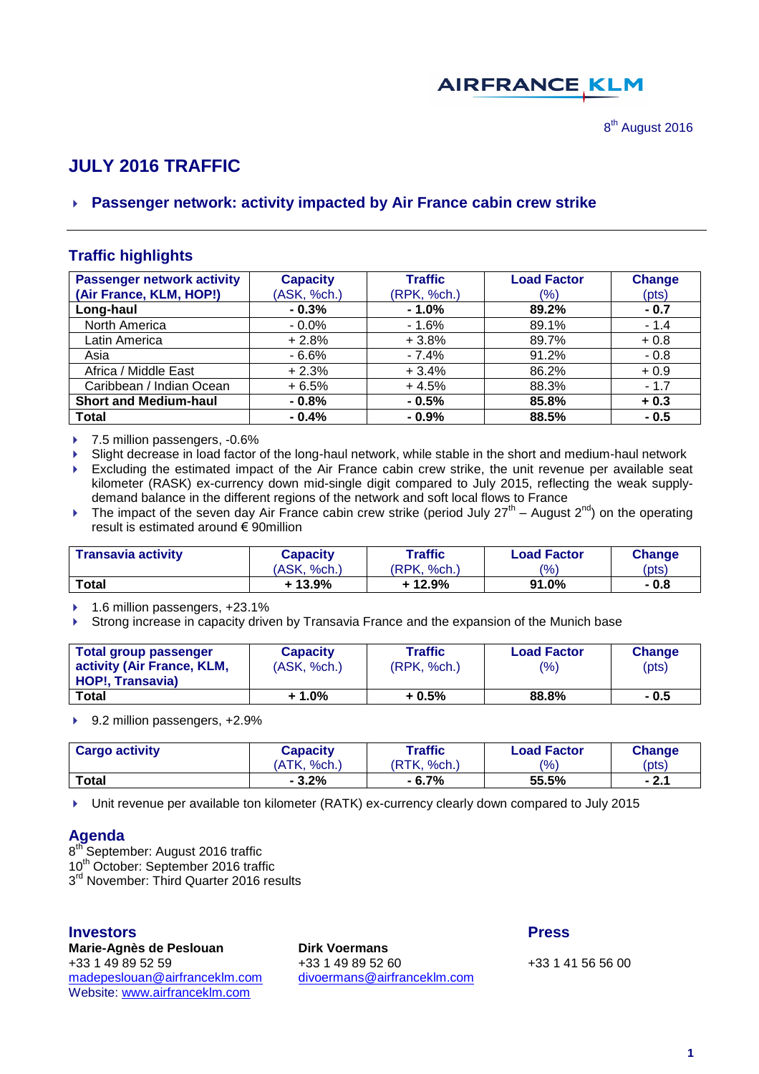# **AIRFRANCE KLM**

# **JULY 2016 TRAFFIC**

# **Passenger network: activity impacted by Air France cabin crew strike**

# **Traffic highlights**

| <b>Passenger network activity</b> | <b>Capacity</b> | <b>Traffic</b> | <b>Load Factor</b> | <b>Change</b> |
|-----------------------------------|-----------------|----------------|--------------------|---------------|
| (Air France, KLM, HOP!)           | (ASK, %ch.)     | (RPK, %ch.)    | (%)                | (pts)         |
| Long-haul                         | $-0.3%$         | $-1.0%$        | 89.2%              | $-0.7$        |
| North America                     | $-0.0\%$        | - 1.6%         | 89.1%              | $-1.4$        |
| Latin America                     | $+2.8%$         | $+3.8%$        | 89.7%              | $+0.8$        |
| Asia                              | $-6.6%$         | $-7.4%$        | 91.2%              | $-0.8$        |
| Africa / Middle East              | $+2.3%$         | $+3.4%$        | 86.2%              | $+0.9$        |
| Caribbean / Indian Ocean          | $+6.5%$         | $+4.5%$        | 88.3%              | $-1.7$        |
| <b>Short and Medium-haul</b>      | $-0.8%$         | $-0.5%$        | 85.8%              | $+0.3$        |
| <b>Total</b>                      | $-0.4%$         | $-0.9%$        | 88.5%              | $-0.5$        |

▶ 7.5 million passengers, -0.6%

Slight decrease in load factor of the long-haul network, while stable in the short and medium-haul network

 Excluding the estimated impact of the Air France cabin crew strike, the unit revenue per available seat kilometer (RASK) ex-currency down mid-single digit compared to July 2015, reflecting the weak supplydemand balance in the different regions of the network and soft local flows to France

Fig. The impact of the seven day Air France cabin crew strike (period July  $27^{th}$  – August  $2^{nd}$ ) on the operating result is estimated around € 90million

| <b>Transavia activity</b> | Capacity    | Traffic     | <b>Load Factor</b> | <b>Change</b> |  |
|---------------------------|-------------|-------------|--------------------|---------------|--|
|                           | (ASK, %ch.) | (RPK, %ch.) | $\frac{(0)}{0}$    | (pts)         |  |
| <b>Total</b>              | + 13.9%     | $+12.9%$    | 91.0%              | - 0.8         |  |

▶ 1.6 million passengers, +23.1%

Strong increase in capacity driven by Transavia France and the expansion of the Munich base

| Total group passenger<br>activity (Air France, KLM, | <b>Capacity</b><br>(ASK, %ch.) | <b>Traffic</b><br>(RPK, % <sub>ch.</sub> ) | <b>Load Factor</b><br>$\frac{(9)}{0}$ | Change<br>(pts) |
|-----------------------------------------------------|--------------------------------|--------------------------------------------|---------------------------------------|-----------------|
| <b>HOP!. Transavia)</b>                             |                                |                                            |                                       |                 |
| <b>Total</b>                                        | + 1.0%                         | + 0.5%                                     | 88.8%                                 | $-0.5$          |

▶ 9.2 million passengers, +2.9%

| <b>Cargo activity</b> | Capacity    | Traffic     | <b>Load Factor</b> | <b>Change</b> |
|-----------------------|-------------|-------------|--------------------|---------------|
|                       | (ATK, %ch.) | (RTK, %ch.) | $\frac{(9/6)}{2}$  | (pts)         |
| <b>Total</b>          | $-3.2%$     | - 6.7%      | 55.5%              | $-2.1$        |

Unit revenue per available ton kilometer (RATK) ex-currency clearly down compared to July 2015

### **Agenda**

8<sup>th</sup> September: August 2016 traffic 10<sup>th</sup> October: September 2016 traffic 3<sup>rd</sup> November: Third Quarter 2016 results

#### **Investors Press**

**Marie-Agnès de Peslouan Dirk Voermans** +33 1 49 89 52 59 +33 1 49 89 52 60 +33 1 41 56 56 00 [madepeslouan@airfranceklm.com](mailto:madepeslouan@airfranceklm.com) [divoermans@airfranceklm.com](mailto:divoermans@airfranceklm.com) Website: [www.airfranceklm.com](http://www.airfranceklm.com/)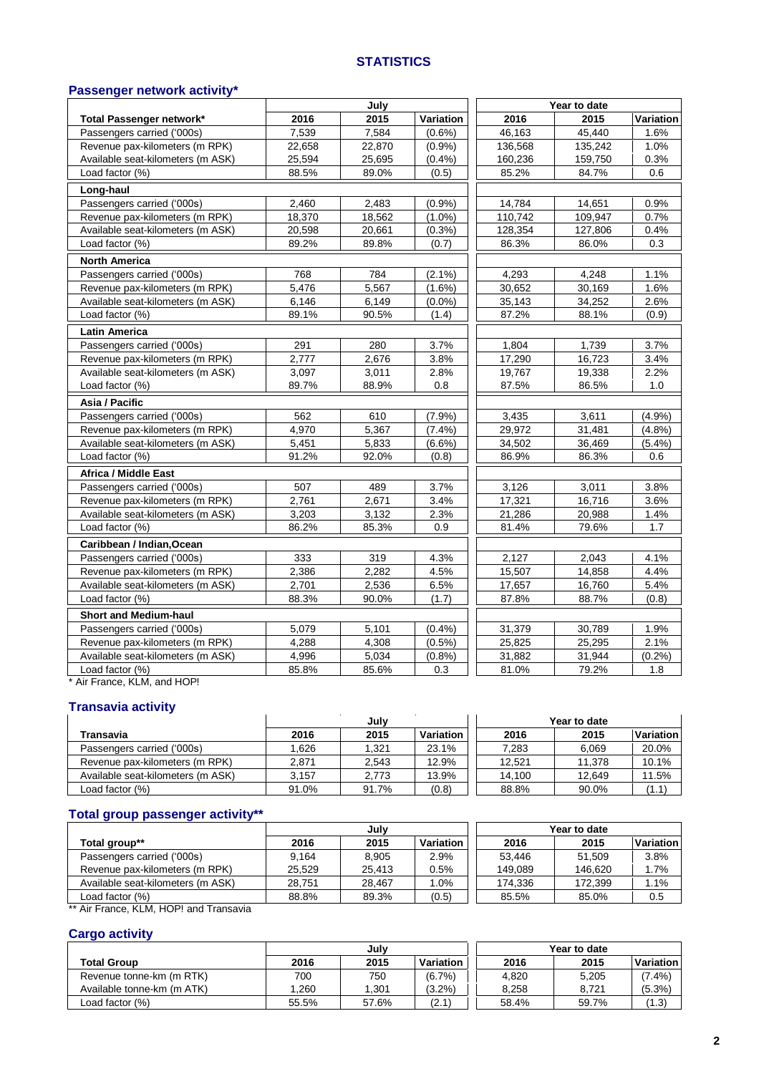#### **STATISTICS**

# **Passenger network activity\***

|                                   |        | July   |           |         | Year to date |           |
|-----------------------------------|--------|--------|-----------|---------|--------------|-----------|
| Total Passenger network*          | 2016   | 2015   | Variation | 2016    | 2015         | Variation |
| Passengers carried ('000s)        | 7,539  | 7,584  | $(0.6\%)$ | 46,163  | 45,440       | 1.6%      |
| Revenue pax-kilometers (m RPK)    | 22,658 | 22,870 | (0.9%     | 136,568 | 135,242      | 1.0%      |
| Available seat-kilometers (m ASK) | 25,594 | 25,695 | (0.4% )   | 160,236 | 159,750      | 0.3%      |
| Load factor (%)                   | 88.5%  | 89.0%  | (0.5)     | 85.2%   | 84.7%        | 0.6       |
| Long-haul                         |        |        |           |         |              |           |
| Passengers carried ('000s)        | 2.460  | 2.483  | (0.9%     | 14,784  | 14,651       | 0.9%      |
| Revenue pax-kilometers (m RPK)    | 18,370 | 18,562 | $(1.0\%)$ | 110,742 | 109,947      | 0.7%      |
| Available seat-kilometers (m ASK) | 20,598 | 20,661 | (0.3%)    | 128,354 | 127,806      | 0.4%      |
| Load factor (%)                   | 89.2%  | 89.8%  | (0.7)     | 86.3%   | 86.0%        | 0.3       |
| <b>North America</b>              |        |        |           |         |              |           |
| Passengers carried ('000s)        | 768    | 784    | $(2.1\%)$ | 4,293   | 4,248        | 1.1%      |
| Revenue pax-kilometers (m RPK)    | 5,476  | 5,567  | $(1.6\%)$ | 30,652  | 30,169       | 1.6%      |
| Available seat-kilometers (m ASK) | 6,146  | 6,149  | $(0.0\%)$ | 35,143  | 34,252       | 2.6%      |
| Load factor (%)                   | 89.1%  | 90.5%  | (1.4)     | 87.2%   | 88.1%        | (0.9)     |
| <b>Latin America</b>              |        |        |           |         |              |           |
| Passengers carried ('000s)        | 291    | 280    | 3.7%      | 1,804   | 1,739        | 3.7%      |
| Revenue pax-kilometers (m RPK)    | 2,777  | 2,676  | 3.8%      | 17,290  | 16,723       | 3.4%      |
| Available seat-kilometers (m ASK) | 3,097  | 3,011  | 2.8%      | 19,767  | 19,338       | 2.2%      |
| Load factor (%)                   | 89.7%  | 88.9%  | 0.8       | 87.5%   | 86.5%        | 1.0       |
| Asia / Pacific                    |        |        |           |         |              |           |
| Passengers carried ('000s)        | 562    | 610    | (7.9%     | 3,435   | 3,611        | (4.9%     |
| Revenue pax-kilometers (m RPK)    | 4,970  | 5,367  | $(7.4\%)$ | 29,972  | 31,481       | (4.8%)    |
| Available seat-kilometers (m ASK) | 5,451  | 5,833  | $(6.6\%)$ | 34,502  | 36,469       | $(5.4\%)$ |
| Load factor (%)                   | 91.2%  | 92.0%  | (0.8)     | 86.9%   | 86.3%        | 0.6       |
| <b>Africa / Middle East</b>       |        |        |           |         |              |           |
| Passengers carried ('000s)        | 507    | 489    | 3.7%      | 3,126   | 3,011        | 3.8%      |
| Revenue pax-kilometers (m RPK)    | 2,761  | 2,671  | 3.4%      | 17,321  | 16,716       | 3.6%      |
| Available seat-kilometers (m ASK) | 3,203  | 3,132  | 2.3%      | 21,286  | 20,988       | 1.4%      |
| Load factor (%)                   | 86.2%  | 85.3%  | 0.9       | 81.4%   | 79.6%        | 1.7       |
| Caribbean / Indian, Ocean         |        |        |           |         |              |           |
| Passengers carried ('000s)        | 333    | 319    | 4.3%      | 2,127   | 2,043        | 4.1%      |
| Revenue pax-kilometers (m RPK)    | 2,386  | 2,282  | 4.5%      | 15,507  | 14,858       | 4.4%      |
| Available seat-kilometers (m ASK) | 2,701  | 2,536  | 6.5%      | 17,657  | 16,760       | 5.4%      |
| Load factor (%)                   | 88.3%  | 90.0%  | (1.7)     | 87.8%   | 88.7%        | (0.8)     |
| <b>Short and Medium-haul</b>      |        |        |           |         |              |           |
| Passengers carried ('000s)        | 5,079  | 5,101  | (0.4% )   | 31,379  | 30,789       | 1.9%      |
| Revenue pax-kilometers (m RPK)    | 4,288  | 4,308  | $(0.5\%)$ | 25,825  | 25,295       | 2.1%      |
| Available seat-kilometers (m ASK) | 4,996  | 5,034  | (0.8%     | 31,882  | 31,944       | (0.2%)    |
| Load factor (%)                   | 85.8%  | 85.6%  | 0.3       | 81.0%   | 79.2%        | 1.8       |

\* Air France, KLM, and HOP!

### **Transavia activity**

|                                   | July  |       |                  | Year to date |        |           |
|-----------------------------------|-------|-------|------------------|--------------|--------|-----------|
| Transavia                         | 2016  | 2015  | <b>Variation</b> | 2016         | 2015   | Variation |
| Passengers carried ('000s)        | 1.626 | 1.321 | 23.1%            | 7.283        | 6,069  | 20.0%     |
| Revenue pax-kilometers (m RPK)    | 2.871 | 2.543 | 12.9%            | 12.521       | 11.378 | 10.1%     |
| Available seat-kilometers (m ASK) | 3.157 | 2.773 | 13.9%            | 14.100       | 12.649 | 11.5%     |
| Load factor (%)                   | 91.0% | 91.7% | (0.8)            | 88.8%        | 90.0%  | (1.1)     |

# **Total group passenger activity\*\***

| July   |        |           | Year to date |         |           |
|--------|--------|-----------|--------------|---------|-----------|
| 2016   | 2015   | Variation | 2016         | 2015    | Variation |
| 9.164  | 8.905  | 2.9%      | 53.446       | 51.509  | 3.8%      |
| 25.529 | 25.413 | 0.5%      | 149.089      | 146.620 | 1.7%      |
| 28.751 | 28.467 | 1.0%      | 174,336      | 172.399 | 1.1%      |
| 88.8%  | 89.3%  | (0.5)     | 85.5%        | 85.0%   | 0.5       |
|        |        |           |              |         |           |

Air France, KLM, HOP! and Transavia

# **Cargo activity**

|                            | July  |       |           |       | Year to date |           |
|----------------------------|-------|-------|-----------|-------|--------------|-----------|
| <b>Total Group</b>         | 2016  | 2015  | Variation | 2016  | 2015         | Variation |
| Revenue tonne-km (m RTK)   | 700   | 750   | $(6.7\%)$ | 4.820 | 5.205        | $7.4\%$   |
| Available tonne-km (m ATK) | .260  | .301  | $(3.2\%)$ | 8.258 | 8.721        | (5.3%     |
| Load factor (%)            | 55.5% | 57.6% | (2.1)     | 58.4% | 59.7%        | (1.3)     |